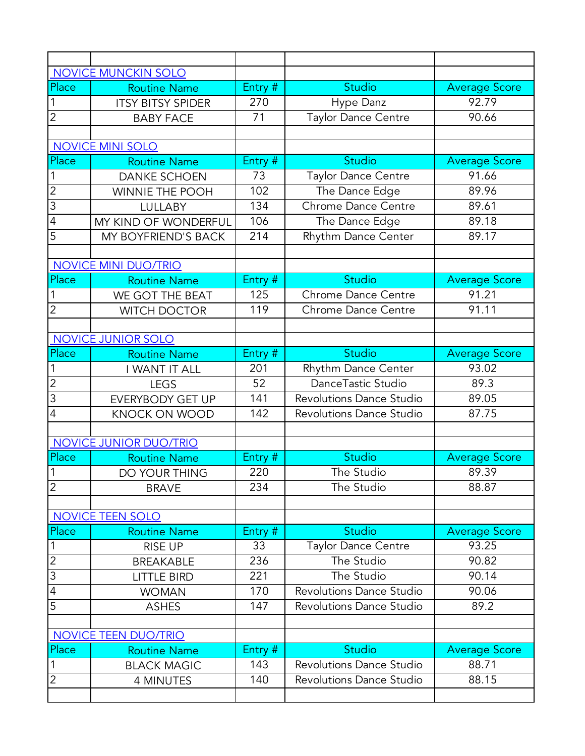|                | <b>NOVICE MUNCKIN SOLO</b>  |         |                                 |                      |
|----------------|-----------------------------|---------|---------------------------------|----------------------|
| Place          | <b>Routine Name</b>         | Entry # | Studio                          | <b>Average Score</b> |
|                | <b>ITSY BITSY SPIDER</b>    | 270     | Hype Danz                       | 92.79                |
| $\overline{2}$ | <b>BABY FACE</b>            | 71      | Taylor Dance Centre             | 90.66                |
|                |                             |         |                                 |                      |
|                | <b>NOVICE MINI SOLO</b>     |         |                                 |                      |
| Place          | <b>Routine Name</b>         | Entry # | Studio                          | <b>Average Score</b> |
|                | <b>DANKE SCHOEN</b>         | 73      | Taylor Dance Centre             | 91.66                |
| $\overline{2}$ | <b>WINNIE THE POOH</b>      | 102     | The Dance Edge                  | 89.96                |
| 3              | <b>LULLABY</b>              | 134     | Chrome Dance Centre             | 89.61                |
| $\overline{4}$ | MY KIND OF WONDERFUL        | 106     | The Dance Edge                  | 89.18                |
| 5              | MY BOYFRIEND'S BACK         | 214     | Rhythm Dance Center             | 89.17                |
|                |                             |         |                                 |                      |
|                | <b>NOVICE MINI DUO/TRIO</b> |         |                                 |                      |
| Place          | <b>Routine Name</b>         | Entry # | <b>Studio</b>                   | <b>Average Score</b> |
| 1              | WE GOT THE BEAT             | 125     | Chrome Dance Centre             | 91.21                |
| $\overline{2}$ | <b>WITCH DOCTOR</b>         | 119     | <b>Chrome Dance Centre</b>      | 91.11                |
|                |                             |         |                                 |                      |
|                | NOVICE JUNIOR SOLO          |         |                                 |                      |
| Place          | <b>Routine Name</b>         | Entry # | Studio                          | <b>Average Score</b> |
| 1              | I WANT IT ALL               | 201     | Rhythm Dance Center             | 93.02                |
| $\overline{2}$ | <b>LEGS</b>                 | 52      | DanceTastic Studio              | 89.3                 |
| $\overline{3}$ | <b>EVERYBODY GET UP</b>     | 141     | Revolutions Dance Studio        | 89.05                |
| 4              | <b>KNOCK ON WOOD</b>        | 142     | <b>Revolutions Dance Studio</b> | 87.75                |
|                |                             |         |                                 |                      |
|                | NOVICE JUNIOR DUO/TRIO      |         |                                 |                      |
| Place          | <b>Routine Name</b>         | Entry # | Studio                          | <b>Average Score</b> |
| 1              | DO YOUR THING               | 220     | The Studio                      | 89.39                |
| $\overline{2}$ | <b>BRAVE</b>                | 234     | The Studio                      | 88.87                |
|                |                             |         |                                 |                      |
|                | NOVICE TEEN SOLO            |         |                                 |                      |
| Place          | <b>Routine Name</b>         | Entry # | Studio                          | <b>Average Score</b> |
| $\mathbf 1$    | <b>RISE UP</b>              | 33      | <b>Taylor Dance Centre</b>      | 93.25                |
| $\overline{2}$ | <b>BREAKABLE</b>            | 236     | The Studio                      | 90.82                |
| $\overline{3}$ | <b>LITTLE BIRD</b>          | 221     | The Studio                      | 90.14                |
| $\overline{4}$ | <b>WOMAN</b>                | 170     | <b>Revolutions Dance Studio</b> | 90.06                |
| 5              | <b>ASHES</b>                | 147     | <b>Revolutions Dance Studio</b> | 89.2                 |
|                |                             |         |                                 |                      |
|                | NOVICE TEEN DUO/TRIO        |         |                                 |                      |
| Place          | <b>Routine Name</b>         | Entry # | <b>Studio</b>                   | <b>Average Score</b> |
|                | <b>BLACK MAGIC</b>          | 143     | <b>Revolutions Dance Studio</b> | 88.71                |
| $\overline{2}$ | <b>4 MINUTES</b>            | 140     | <b>Revolutions Dance Studio</b> | 88.15                |
|                |                             |         |                                 |                      |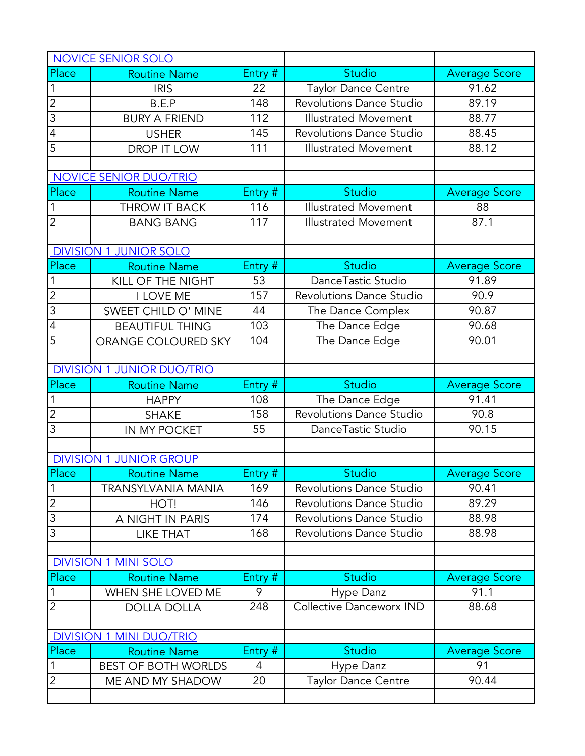|                | NOVICE SENIOR SOLO                |              |                                 |                            |
|----------------|-----------------------------------|--------------|---------------------------------|----------------------------|
| Place          | <b>Routine Name</b>               | Entry #      | <b>Studio</b>                   | <b>Average Score</b>       |
| 1              | <b>IRIS</b>                       | 22           | Taylor Dance Centre             | 91.62                      |
| $\overline{2}$ | B.E.P                             | 148          | <b>Revolutions Dance Studio</b> | 89.19                      |
| $\overline{3}$ | <b>BURY A FRIEND</b>              | 112          | <b>Illustrated Movement</b>     | 88.77                      |
| $\overline{4}$ | <b>USHER</b>                      | 145          | Revolutions Dance Studio        | 88.45                      |
| 5              | DROP IT LOW                       | 111          | <b>Illustrated Movement</b>     | 88.12                      |
|                |                                   |              |                                 |                            |
|                | NOVICE SENIOR DUO/TRIO            |              |                                 |                            |
| Place          | <b>Routine Name</b>               | Entry #      | Studio                          | <b>Average Score</b>       |
|                | THROW IT BACK                     | 116          | <b>Illustrated Movement</b>     | 88                         |
| $\overline{2}$ | <b>BANG BANG</b>                  | 117          | <b>Illustrated Movement</b>     | 87.1                       |
|                |                                   |              |                                 |                            |
|                | <b>DIVISION 1 JUNIOR SOLO</b>     |              |                                 |                            |
| Place          | <b>Routine Name</b>               | Entry #      | Studio                          | Average Score              |
|                | KILL OF THE NIGHT                 | 53           | DanceTastic Studio              | 91.89                      |
| $\overline{2}$ | I LOVE ME                         | 157          | <b>Revolutions Dance Studio</b> | 90.9                       |
| $\overline{3}$ | SWEET CHILD O' MINE               | 44           | The Dance Complex               | 90.87                      |
| $\overline{4}$ | <b>BEAUTIFUL THING</b>            | 103          | The Dance Edge                  | 90.68                      |
| 5              | ORANGE COLOURED SKY               | 104          | The Dance Edge                  | 90.01                      |
|                |                                   |              |                                 |                            |
|                | <b>DIVISION 1 JUNIOR DUO/TRIO</b> |              |                                 |                            |
|                |                                   |              |                                 |                            |
| Place          | <b>Routine Name</b>               | Entry #      | <b>Studio</b>                   | <b>Average Score</b>       |
| 1              | <b>HAPPY</b>                      | 108          | The Dance Edge                  | 91.41                      |
| $\overline{2}$ | <b>SHAKE</b>                      | 158          | Revolutions Dance Studio        | 90.8                       |
| $\overline{3}$ | IN MY POCKET                      | 55           | DanceTastic Studio              | 90.15                      |
|                |                                   |              |                                 |                            |
|                | <b>DIVISION 1 JUNIOR GROUP</b>    |              |                                 |                            |
| Place          | <b>Routine Name</b>               | Entry #      | <b>Studio</b>                   | <b>Average Score</b>       |
| $\overline{1}$ | TRANSYLVANIA MANIA                | 169          | <b>Revolutions Dance Studio</b> | 90.41                      |
| $\overline{c}$ | HOT!                              | 146          | <b>Revolutions Dance Studio</b> | 89.29                      |
| $\overline{3}$ | A NIGHT IN PARIS                  | 174          | <b>Revolutions Dance Studio</b> | 88.98                      |
| 3              | <b>LIKE THAT</b>                  | 168          | <b>Revolutions Dance Studio</b> | 88.98                      |
|                |                                   |              |                                 |                            |
|                | <b>DIVISION 1 MINI SOLO</b>       |              |                                 |                            |
| Place          | <b>Routine Name</b>               | Entry #      | Studio                          | <b>Average Score</b>       |
| 1              | WHEN SHE LOVED ME                 | 9            | Hype Danz                       | 91.1                       |
| $\overline{2}$ | <b>DOLLA DOLLA</b>                | 248          | Collective Danceworx IND        | 88.68                      |
|                |                                   |              |                                 |                            |
|                | <b>DIVISION 1 MINI DUO/TRIO</b>   |              |                                 |                            |
| Place          | <b>Routine Name</b>               | Entry #<br>4 | <b>Studio</b>                   | <b>Average Score</b><br>91 |
| $\mathbf 1$    | <b>BEST OF BOTH WORLDS</b>        |              | Hype Danz                       |                            |
| $\overline{2}$ | ME AND MY SHADOW                  | 20           | <b>Taylor Dance Centre</b>      | 90.44                      |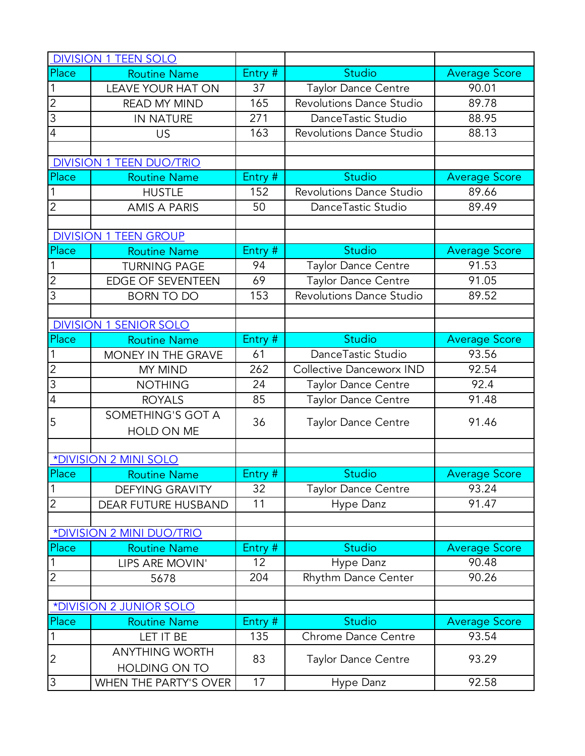|                | <b>DIVISION 1 TEEN SOLO</b>      |         |                            |                      |
|----------------|----------------------------------|---------|----------------------------|----------------------|
| Place          | <b>Routine Name</b>              | Entry # | Studio                     | <b>Average Score</b> |
| $\mathbf 1$    | <b>LEAVE YOUR HAT ON</b>         | 37      | Taylor Dance Centre        | 90.01                |
| $\overline{2}$ | <b>READ MY MIND</b>              | 165     | Revolutions Dance Studio   | 89.78                |
| $\overline{3}$ | IN NATURE                        | 271     | DanceTastic Studio         | 88.95                |
| $\overline{4}$ | <b>US</b>                        | 163     | Revolutions Dance Studio   | 88.13                |
|                |                                  |         |                            |                      |
|                | <b>DIVISION 1 TEEN DUO/TRIO</b>  |         |                            |                      |
| Place          | <b>Routine Name</b>              | Entry # | Studio                     | Average Score        |
| $\mathbf 1$    | <b>HUSTLE</b>                    | 152     | Revolutions Dance Studio   | 89.66                |
| $\overline{2}$ | <b>AMIS A PARIS</b>              | 50      | DanceTastic Studio         | 89.49                |
|                |                                  |         |                            |                      |
|                | <b>DIVISION 1 TEEN GROUP</b>     |         |                            |                      |
| Place          | <b>Routine Name</b>              | Entry # | <b>Studio</b>              | <b>Average Score</b> |
| $\mathbf 1$    | <b>TURNING PAGE</b>              | 94      | Taylor Dance Centre        | 91.53                |
| $\overline{2}$ | <b>EDGE OF SEVENTEEN</b>         | 69      | <b>Taylor Dance Centre</b> | 91.05                |
| $\overline{3}$ | <b>BORN TO DO</b>                | 153     | Revolutions Dance Studio   | 89.52                |
|                |                                  |         |                            |                      |
|                | <b>DIVISION 1 SENIOR SOLO</b>    |         |                            |                      |
| Place          | <b>Routine Name</b>              | Entry # | Studio                     | <b>Average Score</b> |
| $\mathbf{1}$   | MONEY IN THE GRAVE               | 61      | DanceTastic Studio         | 93.56                |
| $\overline{2}$ | MY MIND                          | 262     | Collective Danceworx IND   | 92.54                |
| $\overline{3}$ | <b>NOTHING</b>                   | 24      | <b>Taylor Dance Centre</b> | 92.4                 |
| $\overline{4}$ | <b>ROYALS</b>                    | 85      | <b>Taylor Dance Centre</b> | 91.48                |
| 5              | SOMETHING'S GOT A                | 36      | <b>Taylor Dance Centre</b> | 91.46                |
|                | HOLD ON ME                       |         |                            |                      |
|                |                                  |         |                            |                      |
|                | *DIVISION 2 MINI SOLO            |         |                            |                      |
| Place          | <b>Routine Name</b>              | Entry # | <b>Studio</b>              | <b>Average Score</b> |
| $\mathbf 1$    | <b>DEFYING GRAVITY</b>           | 32      | Taylor Dance Centre        | 93.24                |
| $\overline{2}$ | DEAR FUTURE HUSBAND              | 11      | Hype Danz                  | 91.47                |
|                |                                  |         |                            |                      |
|                | <b>*DIVISION 2 MINI DUO/TRIO</b> |         |                            |                      |
| Place          | <b>Routine Name</b>              | Entry # | <b>Studio</b>              | <b>Average Score</b> |
| $\mathbf{1}$   | LIPS ARE MOVIN'                  | 12      | Hype Danz                  | 90.48                |
| $\overline{2}$ | 5678                             | 204     | Rhythm Dance Center        | 90.26                |
|                |                                  |         |                            |                      |
|                | *DIVISION 2 JUNIOR SOLO          |         |                            |                      |
| Place          | <b>Routine Name</b>              | Entry # | <b>Studio</b>              | <b>Average Score</b> |
| 1              | LET IT BE                        | 135     | Chrome Dance Centre        | 93.54                |
| $\overline{c}$ | <b>ANYTHING WORTH</b>            | 83      | <b>Taylor Dance Centre</b> | 93.29                |
|                | <b>HOLDING ON TO</b>             |         |                            |                      |
| 3              | WHEN THE PARTY'S OVER            | 17      | Hype Danz                  | 92.58                |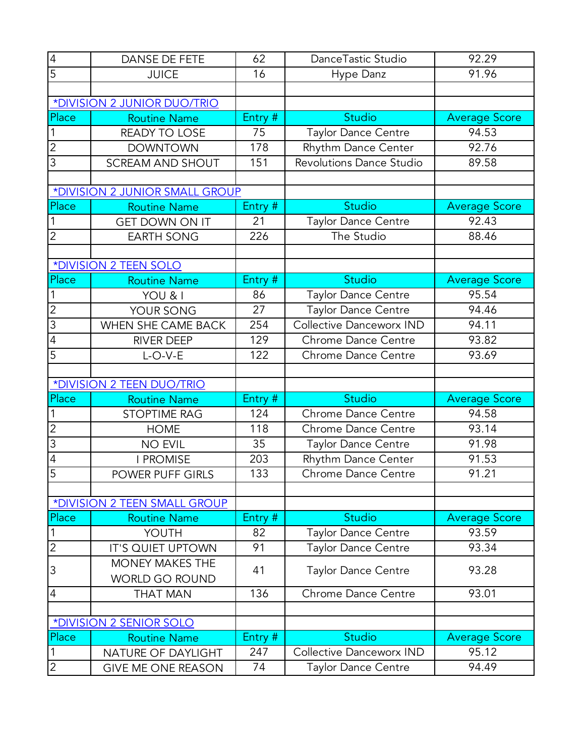| $\overline{4}$                | <b>DANSE DE FETE</b>                            | 62        | DanceTastic Studio                                     | 92.29                |
|-------------------------------|-------------------------------------------------|-----------|--------------------------------------------------------|----------------------|
| $\overline{5}$                | <b>JUICE</b>                                    | 16        | Hype Danz                                              | 91.96                |
|                               |                                                 |           |                                                        |                      |
|                               | *DIVISION 2 JUNIOR DUO/TRIO                     |           |                                                        |                      |
| Place                         | <b>Routine Name</b>                             | Entry #   | <b>Studio</b>                                          | <b>Average Score</b> |
| 1                             | READY TO LOSE                                   | 75        | Taylor Dance Centre                                    | 94.53                |
| $\overline{2}$                | <b>DOWNTOWN</b>                                 | 178       | Rhythm Dance Center                                    | 92.76                |
| $\overline{3}$                | <b>SCREAM AND SHOUT</b>                         | 151       | <b>Revolutions Dance Studio</b>                        | 89.58                |
|                               |                                                 |           |                                                        |                      |
|                               | *DIVISION 2 JUNIOR SMALL GROUP                  |           |                                                        |                      |
| Place                         | <b>Routine Name</b>                             | Entry #   | Studio                                                 | <b>Average Score</b> |
|                               | <b>GET DOWN ON IT</b>                           | 21        | Taylor Dance Centre                                    | 92.43                |
| $\overline{2}$                | <b>EARTH SONG</b>                               | 226       | The Studio                                             | 88.46                |
|                               |                                                 |           |                                                        |                      |
|                               | *DIVISION 2 TEEN SOLO                           |           |                                                        |                      |
| Place                         | <b>Routine Name</b>                             | Entry #   | <b>Studio</b>                                          | <b>Average Score</b> |
|                               | YOU & I                                         | 86        | Taylor Dance Centre                                    | 95.54                |
| $\overline{2}$                | YOUR SONG                                       | 27        | Taylor Dance Centre                                    | 94.46                |
| $\overline{3}$                | WHEN SHE CAME BACK                              | 254       | Collective Danceworx IND                               | 94.11                |
| $\overline{4}$                | <b>RIVER DEEP</b>                               | 129       | Chrome Dance Centre                                    | 93.82                |
| 5                             | $L-O-V-E$                                       | 122       | <b>Chrome Dance Centre</b>                             | 93.69                |
|                               |                                                 |           |                                                        |                      |
|                               |                                                 |           |                                                        |                      |
|                               | *DIVISION 2 TEEN DUO/TRIO                       |           |                                                        |                      |
| Place                         | <b>Routine Name</b>                             | Entry #   | Studio                                                 | <b>Average Score</b> |
| 1                             | <b>STOPTIME RAG</b>                             | 124       | Chrome Dance Centre                                    | 94.58                |
| $\overline{2}$                | <b>HOME</b>                                     | 118       | <b>Chrome Dance Centre</b>                             | $\overline{9}3.14$   |
| $\overline{3}$                | <b>NO EVIL</b>                                  | 35        | <b>Taylor Dance Centre</b>                             | 91.98                |
| 4                             | <b>I PROMISE</b>                                | 203       | Rhythm Dance Center                                    | 91.53                |
| $\overline{5}$                | POWER PUFF GIRLS                                | 133       | Chrome Dance Centre                                    | 91.21                |
|                               |                                                 |           |                                                        |                      |
|                               | *DIVISION 2 TEEN SMALL GROUP                    |           |                                                        |                      |
| Place                         | <b>Routine Name</b>                             | Entry #   | Studio                                                 | <b>Average Score</b> |
| $\mathbf 1$                   | YOUTH                                           | 82        | <b>Taylor Dance Centre</b>                             | 93.59                |
| $\overline{2}$                | IT'S QUIET UPTOWN                               | 91        | <b>Taylor Dance Centre</b>                             | 93.34                |
| 3                             | <b>MONEY MAKES THE</b>                          | 41        | <b>Taylor Dance Centre</b>                             | 93.28                |
|                               | <b>WORLD GO ROUND</b>                           |           |                                                        |                      |
| $\overline{4}$                | <b>THAT MAN</b>                                 | 136       | <b>Chrome Dance Centre</b>                             | 93.01                |
|                               |                                                 |           |                                                        |                      |
|                               | <b>*DIVISION 2 SENIOR SOLO</b>                  |           |                                                        |                      |
| Place                         | <b>Routine Name</b>                             | Entry #   | Studio                                                 | <b>Average Score</b> |
| $\mathbf 1$<br>$\overline{2}$ | NATURE OF DAYLIGHT<br><b>GIVE ME ONE REASON</b> | 247<br>74 | Collective Danceworx IND<br><b>Taylor Dance Centre</b> | 95.12<br>94.49       |